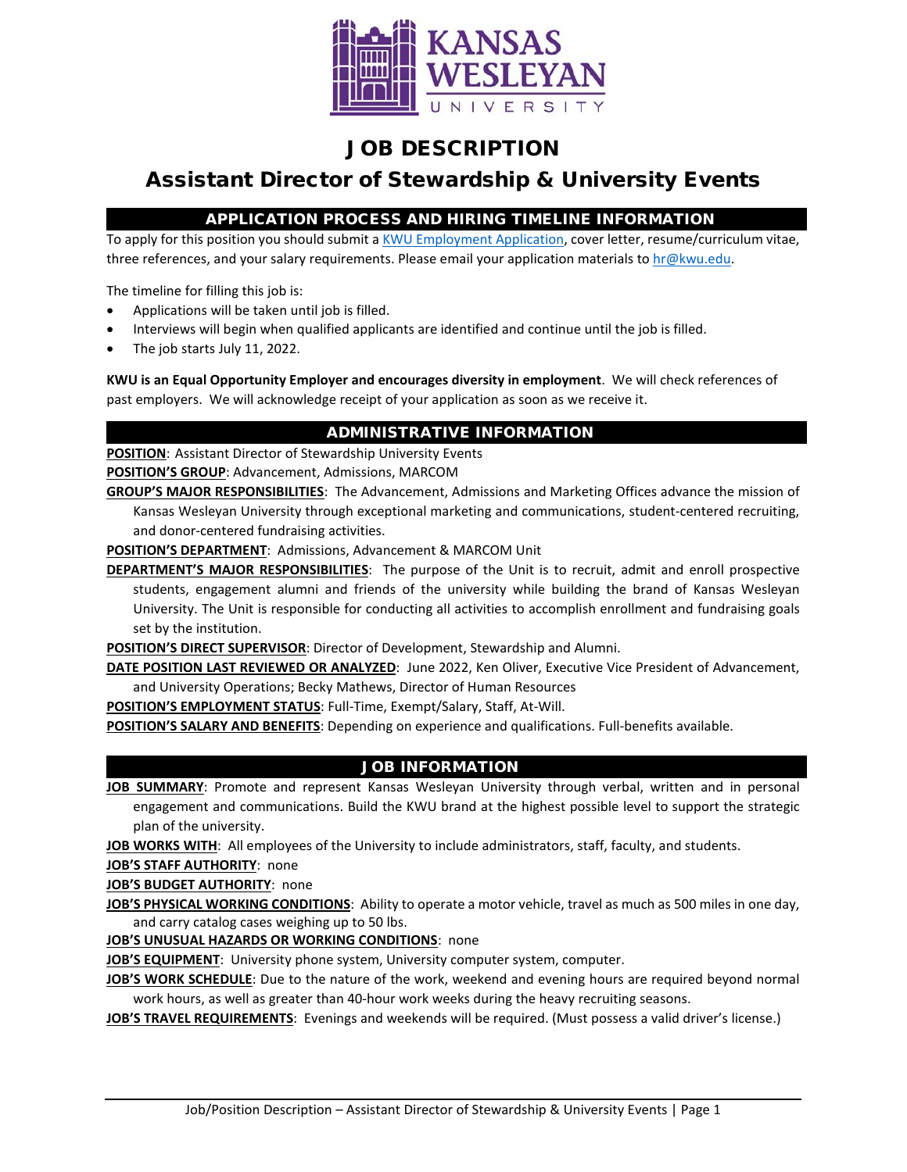

## JOB DESCRIPTION

# Assistant Director of Stewardship & University Events

## APPLICATION PROCESS AND HIRING TIMELINE INFORMATION

To apply for this position you should submit [a KWU Employment Application,](https://www.kwu.edu/wp-content/uploads/Employment-Application-Form-ELECTRONIC-Revised-3-.pdf) cover letter, resume/curriculum vitae, three references, and your salary requirements. Please email your application materials to [hr@kwu.edu.](mailto:hr@kwu.edu)

The timeline for filling this job is:

- Applications will be taken until job is filled.
- Interviews will begin when qualified applicants are identified and continue until the job is filled.
- The job starts July 11, 2022.

**KWU is an Equal Opportunity Employer and encourages diversity in employment**. We will check references of past employers. We will acknowledge receipt of your application as soon as we receive it.

### ADMINISTRATIVE INFORMATION

**POSITION**: Assistant Director of Stewardship University Events

**POSITION'S GROUP**: Advancement, Admissions, MARCOM

**GROUP'S MAJOR RESPONSIBILITIES**: The Advancement, Admissions and Marketing Offices advance the mission of Kansas Wesleyan University through exceptional marketing and communications, student-centered recruiting, and donor-centered fundraising activities.

**POSITION'S DEPARTMENT**: Admissions, Advancement & MARCOM Unit

**DEPARTMENT'S MAJOR RESPONSIBILITIES**: The purpose of the Unit is to recruit, admit and enroll prospective students, engagement alumni and friends of the university while building the brand of Kansas Wesleyan University. The Unit is responsible for conducting all activities to accomplish enrollment and fundraising goals set by the institution.

**POSITION'S DIRECT SUPERVISOR**: Director of Development, Stewardship and Alumni.

**DATE POSITION LAST REVIEWED OR ANALYZED:** June 2022, Ken Oliver, Executive Vice President of Advancement, and University Operations; Becky Mathews, Director of Human Resources

**POSITION'S EMPLOYMENT STATUS**: Full-Time, Exempt/Salary, Staff, At-Will.

**POSITION'S SALARY AND BENEFITS**: Depending on experience and qualifications. Full-benefits available.

#### JOB INFORMATION

**JOB SUMMARY**: Promote and represent Kansas Wesleyan University through verbal, written and in personal engagement and communications. Build the KWU brand at the highest possible level to support the strategic plan of the university.

**JOB WORKS WITH**: All employees of the University to include administrators, staff, faculty, and students.

**JOB'S STAFF AUTHORITY**: none

**JOB'S BUDGET AUTHORITY**: none

**JOB'S PHYSICAL WORKING CONDITIONS**: Ability to operate a motor vehicle, travel as much as 500 miles in one day, and carry catalog cases weighing up to 50 lbs.

**JOB'S UNUSUAL HAZARDS OR WORKING CONDITIONS**: none

**JOB'S EQUIPMENT**: University phone system, University computer system, computer.

**JOB'S WORK SCHEDULE**: Due to the nature of the work, weekend and evening hours are required beyond normal work hours, as well as greater than 40-hour work weeks during the heavy recruiting seasons.

**JOB'S TRAVEL REQUIREMENTS**: Evenings and weekends will be required. (Must possess a valid driver's license.)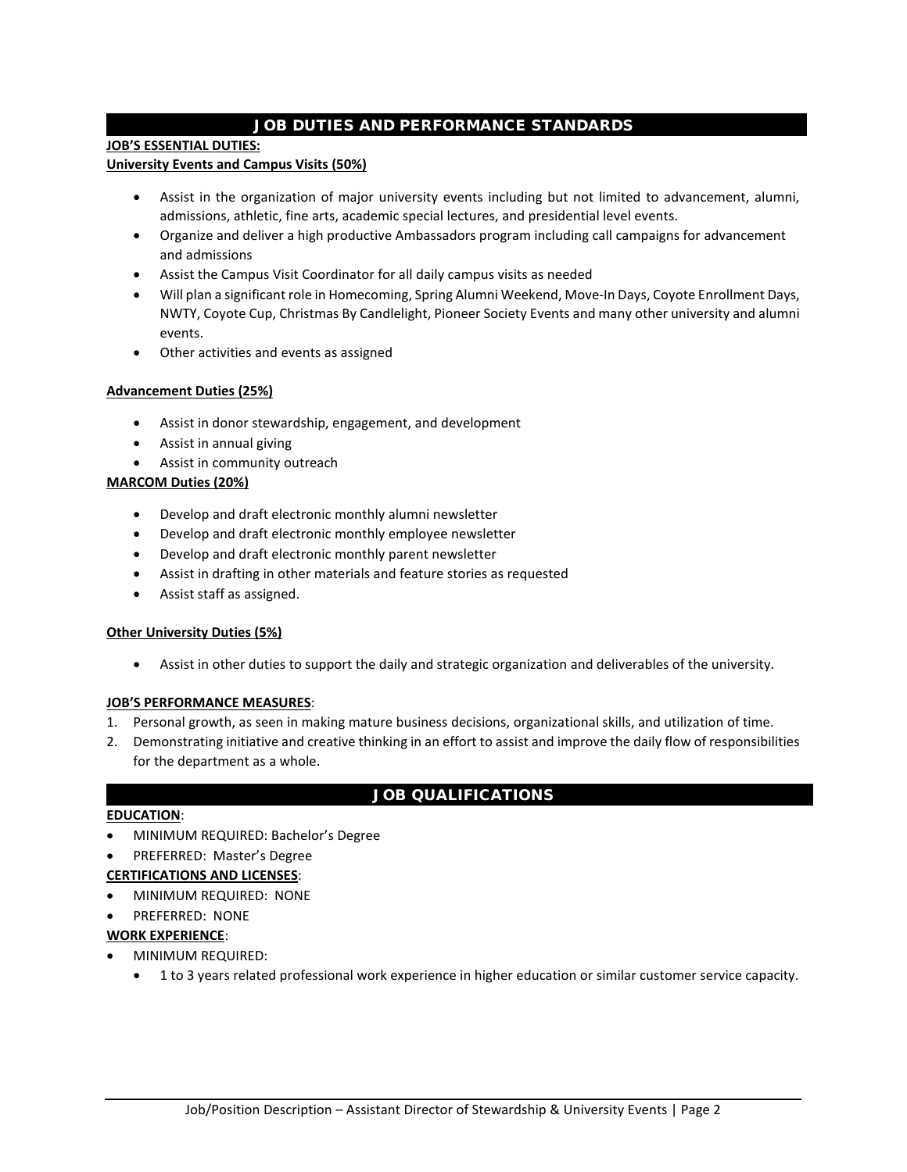## JOB DUTIES AND PERFORMANCE STANDARDS

#### **JOB'S ESSENTIAL DUTIES:**

#### **University Events and Campus Visits (50%)**

- Assist in the organization of major university events including but not limited to advancement, alumni, admissions, athletic, fine arts, academic special lectures, and presidential level events.
- Organize and deliver a high productive Ambassadors program including call campaigns for advancement and admissions
- Assist the Campus Visit Coordinator for all daily campus visits as needed
- Will plan a significant role in Homecoming, Spring Alumni Weekend, Move-In Days, Coyote Enrollment Days, NWTY, Coyote Cup, Christmas By Candlelight, Pioneer Society Events and many other university and alumni events.
- Other activities and events as assigned

#### **Advancement Duties (25%)**

- Assist in donor stewardship, engagement, and development
- Assist in annual giving
- Assist in community outreach

#### **MARCOM Duties (20%)**

- Develop and draft electronic monthly alumni newsletter
- Develop and draft electronic monthly employee newsletter
- Develop and draft electronic monthly parent newsletter
- Assist in drafting in other materials and feature stories as requested
- Assist staff as assigned.

#### **Other University Duties (5%)**

• Assist in other duties to support the daily and strategic organization and deliverables of the university.

#### **JOB'S PERFORMANCE MEASURES**:

- 1. Personal growth, as seen in making mature business decisions, organizational skills, and utilization of time.
- 2. Demonstrating initiative and creative thinking in an effort to assist and improve the daily flow of responsibilities for the department as a whole.

#### JOB QUALIFICATIONS

#### **EDUCATION**:

- MINIMUM REQUIRED: Bachelor's Degree
- PREFERRED: Master's Degree

#### **CERTIFICATIONS AND LICENSES**:

- MINIMUM REQUIRED: NONE
- PREFERRED: NONE

#### **WORK EXPERIENCE**:

- MINIMUM REQUIRED:
	- 1 to 3 years related professional work experience in higher education or similar customer service capacity.